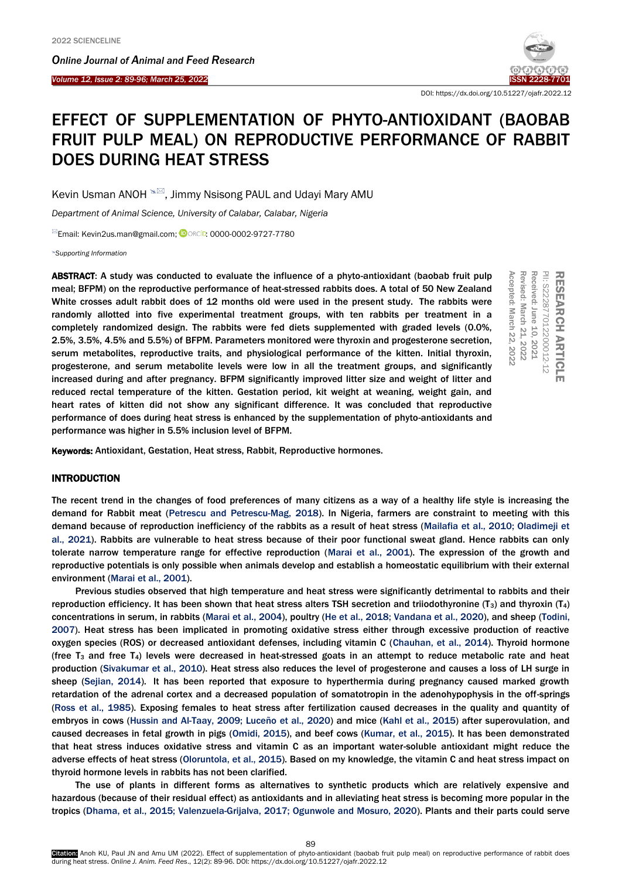Ī

*Online Journal of A[nimal and](http://www.ojafr.ir/main/) Feed Research Volume 12, Issue 2: 89-96; March 25, 2022* ISSN 2228-7701



DOI: https://dx.doi.org/10.51227/ojafr.2022.12

# EFFECT OF SUPPLEMENTATION OF PHYTO-ANTIOXIDANT (BAOBAB FRUIT PULP MEAL) ON REPRODUCTIVE PERFORMANCE OF RABBIT DOES DURING HEAT STRESS

Kevin Usman ANOH  $\frac{1}{2}$ , Jimmy Nsisong PAUL and Udayi Mary AMU

*Department of Animal Science, University of Calabar, Calabar, Nigeria*

<sup>⊠</sup>Email: Kevin2us.man@gmail.com; **DORCiD: 0000-0002-9727-7780** 

*Supporting Information*

ABSTRACT: A study was conducted to evaluate the influence of a phyto-antioxidant (baobab fruit pulp meal; BFPM) on the reproductive performance of heat-stressed rabbits does. A total of 50 New Zealand White crosses adult rabbit does of 12 months old were used in the present study. The rabbits were randomly allotted into five experimental treatment groups, with ten rabbits per treatment in a completely randomized design. The rabbits were fed diets supplemented with graded levels (0.0%, 2.5%, 3.5%, 4.5% and 5.5%) of BFPM. Parameters monitored were thyroxin and progesterone secretion, serum metabolites, reproductive traits, and physiological performance of the kitten. Initial thyroxin, progesterone, and serum metabolite levels were low in all the treatment groups, and significantly increased during and after pregnancy. BFPM significantly improved litter size and weight of litter and reduced rectal temperature of the kitten. Gestation period, kit weight at weaning, weight gain, and heart rates of kitten did not show any significant difference. It was concluded that reproductive performance of does during heat stress is enhanced by the supplementation of phyto-antioxidants and performance was higher in 5.5% inclusion level of BFPM.

Revised: March 21, 2022 Accepted: March Revised: March 21, 2022 Received: June 10, Received: June 10, 2021 킆 PII: S222877012200012-12 곮 RESEARCH **Accepted: March 22, 2022** S222877012200012-12 <u>in</u> EARCH ARTICLE ARTICLE 2021

Keywords: Antioxidant, Gestation, Heat stress, Rabbit, Reproductive hormones.

# INTRODUCTION

The recent trend in the changes of food preferences of many citizens as a way of a healthy life style is increasing the demand for Rabbit meat (Petrescu and Petrescu-Mag, 2018). In Nigeria, farmers are constraint to meeting with this demand because of reproduction inefficiency of the rabbits as a result of heat stress (Mailafia et al., 2010; Oladimeji et al., 2021). Rabbits are vulnerable to heat stress because of their poor functional sweat gland. Hence rabbits can only tolerate narrow temperature range for effective reproduction (Marai et al., 2001). The expression of the growth and reproductive potentials is only possible when animals develop and establish a homeostatic equilibrium with their external environment (Marai et al., 2001).

Previous studies observed that high temperature and heat stress were significantly detrimental to rabbits and their reproduction efficiency. It has been shown that heat stress alters TSH secretion and triiodothyronine ( $T_3$ ) and thyroxin ( $T_4$ ) concentrations in serum, in rabbits (Marai et al., 2004), poultry (He et al., 2018; Vandana et al., 2020), and sheep (Todini, 2007). Heat stress has been implicated in promoting oxidative stress either through excessive production of reactive oxygen species (ROS) or decreased antioxidant defenses, including vitamin C (Chauhan, et al., 2014). Thyroid hormone (free T<sub>3</sub> and free T<sub>4</sub>) levels were decreased in heat-stressed goats in an attempt to reduce metabolic rate and heat production (Sivakumar et al., 2010). Heat stress also reduces the level of progesterone and causes a loss of LH surge in sheep (Sejian, 2014). It has been reported that exposure to hyperthermia during pregnancy caused marked growth retardation of the adrenal cortex and a decreased population of somatotropin in the adenohypophysis in the off-springs (Ross et al., 1985). Exposing females to heat stress after fertilization caused decreases in the quality and quantity of embryos in cows (Hussin and Al-Taay, 2009; Luceño et al., 2020) and mice (Kahl et al., 2015) after superovulation, and caused decreases in fetal growth in pigs (Omidi, 2015), and beef cows (Kumar, et al., 2015). It has been demonstrated that heat stress induces oxidative stress and vitamin C as an important water-soluble antioxidant might reduce the adverse effects of heat stress (Oloruntola, et al., 2015). Based on my knowledge, the vitamin C and heat stress impact on thyroid hormone levels in rabbits has not been clarified.

The use of plants in different forms as alternatives to synthetic products which are relatively expensive and hazardous (because of their residual effect) as antioxidants and in alleviating heat stress is becoming more popular in the tropics (Dhama, et al., 2015; Valenzuela-Grijalva, 2017; Ogunwole and Mosuro, 2020). Plants and their parts could serve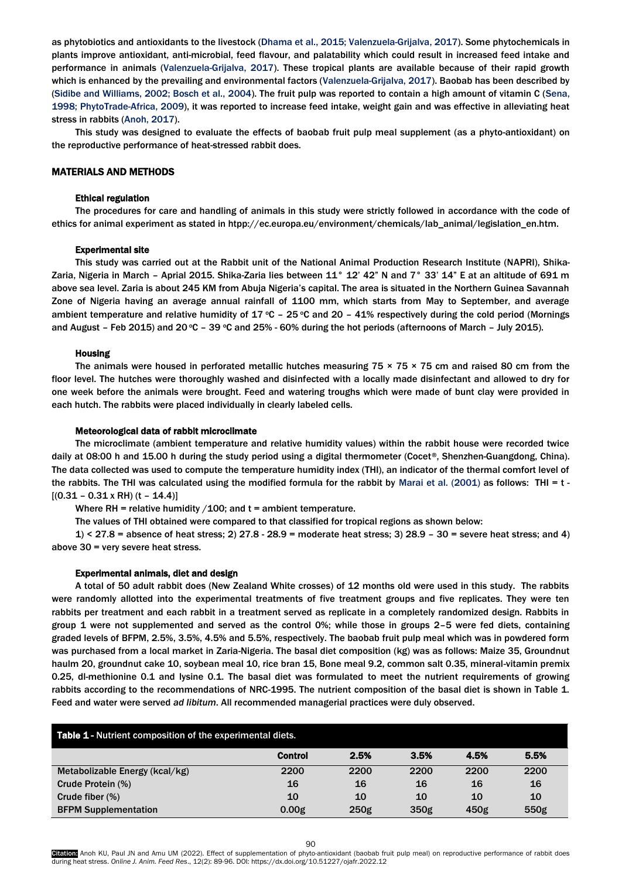as phytobiotics and antioxidants to the livestock (Dhama et al., 2015; Valenzuela-Grijalva, 2017). Some phytochemicals in plants improve antioxidant, anti-microbial, feed flavour, and palatability which could result in increased feed intake and performance in animals (Valenzuela-Grijalva, 2017). These tropical plants are available because of their rapid growth which is enhanced by the prevailing and environmental factors (Valenzuela-Grijalva, 2017). Baobab has been described by (Sidibe and Williams, 2002; Bosch et al., 2004). The fruit pulp was reported to contain a high amount of vitamin C (Sena, 1998; PhytoTrade-Africa, 2009), it was reported to increase feed intake, weight gain and was effective in alleviating heat stress in rabbits (Anoh, 2017).

This study was designed to evaluate the effects of baobab fruit pulp meal supplement (as a phyto-antioxidant) on the reproductive performance of heat-stressed rabbit does.

# MATERIALS AND METHODS

# Ethical regulation

The procedures for care and handling of animals in this study were strictly followed in accordance with the code of ethics for animal experiment as stated in htpp://ec.europa.eu/environment/chemicals/lab\_animal/legislation\_en.htm.

## Experimental site

This study was carried out at the Rabbit unit of the National Animal Production Research Institute (NAPRI), Shika-Zaria, Nigeria in March – Aprial 2015. Shika-Zaria lies between 11° 12' 42" N and 7° 33' 14" E at an altitude of 691 m above sea level. Zaria is about 245 KM from Abuja Nigeria's capital. The area is situated in the Northern Guinea Savannah Zone of Nigeria having an average annual rainfall of 1100 mm, which starts from May to September, and average ambient temperature and relative humidity of 17  $\degree$ C – 25  $\degree$ C and 20 – 41% respectively during the cold period (Mornings and August – Feb 2015) and 20  $\degree$ C – 39  $\degree$ C and 25% - 60% during the hot periods (afternoons of March – July 2015).

#### Housing

The animals were housed in perforated metallic hutches measuring  $75 \times 75 \times 75$  cm and raised 80 cm from the floor level. The hutches were thoroughly washed and disinfected with a locally made disinfectant and allowed to dry for one week before the animals were brought. Feed and watering troughs which were made of bunt clay were provided in each hutch. The rabbits were placed individually in clearly labeled cells.

#### Meteorological data of rabbit microclimate

The microclimate (ambient temperature and relative humidity values) within the rabbit house were recorded twice daily at 08:00 h and 15.00 h during the study period using a digital thermometer (Cocet®, Shenzhen-Guangdong, China). The data collected was used to compute the temperature humidity index (THI), an indicator of the thermal comfort level of the rabbits. The THI was calculated using the modified formula for the rabbit by Marai et al. (2001) as follows: THI = t -  $[(0.31 - 0.31 \times RH)(t - 14.4)]$ 

Where RH = relative humidity  $/100$ ; and t = ambient temperature.

The values of THI obtained were compared to that classified for tropical regions as shown below:

1) < 27.8 = absence of heat stress; 2) 27.8 - 28.9 = moderate heat stress; 3) 28.9 – 30 = severe heat stress; and 4) above 30 = very severe heat stress.

#### Experimental animals, diet and design

A total of 50 adult rabbit does (New Zealand White crosses) of 12 months old were used in this study. The rabbits were randomly allotted into the experimental treatments of five treatment groups and five replicates. They were ten rabbits per treatment and each rabbit in a treatment served as replicate in a completely randomized design. Rabbits in group 1 were not supplemented and served as the control 0%; while those in groups 2–5 were fed diets, containing graded levels of BFPM, 2.5%, 3.5%, 4.5% and 5.5%, respectively. The baobab fruit pulp meal which was in powdered form was purchased from a local market in Zaria-Nigeria. The basal diet composition (kg) was as follows: Maize 35, Groundnut haulm 20, groundnut cake 10, soybean meal 10, rice bran 15, Bone meal 9.2, common salt 0.35, mineral-vitamin premix 0.25, dl-methionine 0.1 and lysine 0.1. The basal diet was formulated to meet the nutrient requirements of growing rabbits according to the recommendations of NRC-1995. The nutrient composition of the basal diet is shown in Table 1. Feed and water were served *ad libitum*. All recommended managerial practices were duly observed.

| <b>Table 1 - Nutrient composition of the experimental diets.</b> |                   |                  |      |      |      |  |  |
|------------------------------------------------------------------|-------------------|------------------|------|------|------|--|--|
|                                                                  | <b>Control</b>    | 2.5%             | 3.5% | 4.5% | 5.5% |  |  |
| Metabolizable Energy (kcal/kg)                                   | 2200              | 2200             | 2200 | 2200 | 2200 |  |  |
| Crude Protein (%)                                                | 16                | 16               | 16   | 16   | 16   |  |  |
| Crude fiber (%)                                                  | 10                | 10               | 10   | 10   | 10   |  |  |
| <b>BFPM Supplementation</b>                                      | 0.00 <sub>g</sub> | 250 <sub>g</sub> | 350g | 450g | 550g |  |  |

Citation: Anoh KU, Paul JN and Amu UM (2022). Effect of supplementation of phyto-antioxidant (baobab fruit pulp meal) on reproductive performance of rabbit does during heat stress. *Online J. Anim. Feed Res*., 12(2): 89-96. DOI: https://dx.doi.org/10.51227/ojafr.2022.12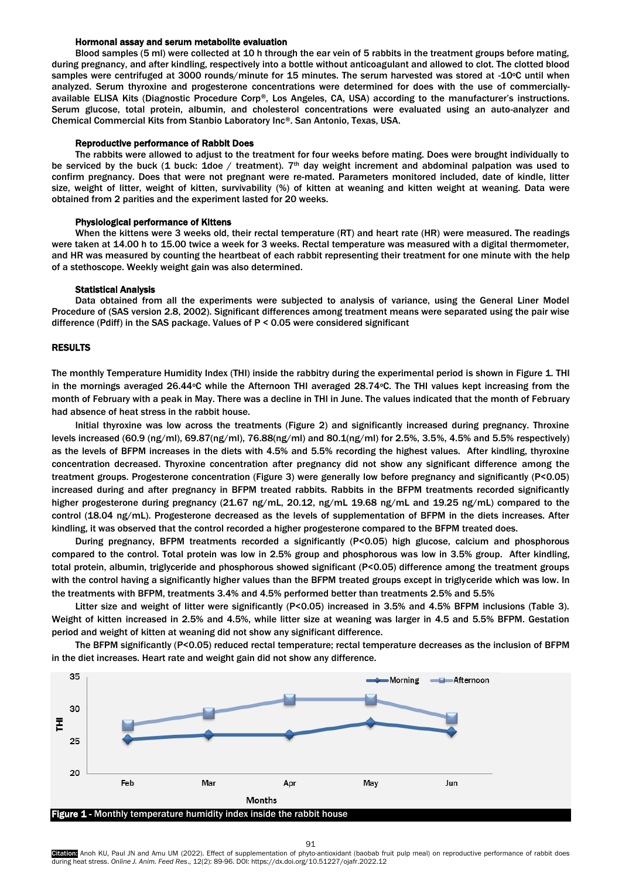# Hormonal assay and serum metabolite evaluation

Blood samples (5 ml) were collected at 10 h through the ear vein of 5 rabbits in the treatment groups before mating, during pregnancy, and after kindling, respectively into a bottle without anticoagulant and allowed to clot. The clotted blood samples were centrifuged at 3000 rounds/minute for 15 minutes. The serum harvested was stored at -10°C until when analyzed. Serum thyroxine and progesterone concentrations were determined for does with the use of commerciallyavailable ELISA Kits (Diagnostic Procedure Corp®, Los Angeles, CA, USA) according to the manufacturer's instructions. Serum glucose, total protein, albumin, and cholesterol concentrations were evaluated using an auto-analyzer and Chemical Commercial Kits from Stanbio Laboratory Inc®. San Antonio, Texas, USA.

### Reproductive performance of Rabbit Does

The rabbits were allowed to adjust to the treatment for four weeks before mating. Does were brought individually to be serviced by the buck (1 buck: 1doe / treatment).  $7<sup>th</sup>$  day weight increment and abdominal palpation was used to confirm pregnancy. Does that were not pregnant were re-mated. Parameters monitored included, date of kindle, litter size, weight of litter, weight of kitten, survivability (%) of kitten at weaning and kitten weight at weaning. Data were obtained from 2 parities and the experiment lasted for 20 weeks.

#### Physiological performance of Kittens

When the kittens were 3 weeks old, their rectal temperature (RT) and heart rate (HR) were measured. The readings were taken at 14.00 h to 15.00 twice a week for 3 weeks. Rectal temperature was measured with a digital thermometer, and HR was measured by counting the heartbeat of each rabbit representing their treatment for one minute with the help of a stethoscope. Weekly weight gain was also determined.

#### Statistical Analysis

Data obtained from all the experiments were subjected to analysis of variance, using the General Liner Model Procedure of (SAS version 2.8, 2002). Significant differences among treatment means were separated using the pair wise difference (Pdiff) in the SAS package. Values of P < 0.05 were considered significant

## RESULTS

The monthly Temperature Humidity Index (THI) inside the rabbitry during the experimental period is shown in Figure 1. THI in the mornings averaged 26.44 $\degree$ C while the Afternoon THI averaged 28.74 $\degree$ C. The THI values kept increasing from the month of February with a peak in May. There was a decline in THI in June. The values indicated that the month of February had absence of heat stress in the rabbit house.

Initial thyroxine was low across the treatments (Figure 2) and significantly increased during pregnancy. Throxine levels increased (60.9 (ng/ml), 69.87(ng/ml), 76.88(ng/ml) and 80.1(ng/ml) for 2.5%, 3.5%, 4.5% and 5.5% respectively) as the levels of BFPM increases in the diets with 4.5% and 5.5% recording the highest values. After kindling, thyroxine concentration decreased. Thyroxine concentration after pregnancy did not show any significant difference among the treatment groups. Progesterone concentration (Figure 3) were generally low before pregnancy and significantly (P<0.05) increased during and after pregnancy in BFPM treated rabbits. Rabbits in the BFPM treatments recorded significantly higher progesterone during pregnancy (21.67 ng/mL, 20.12, ng/mL 19.68 ng/mL and 19.25 ng/mL) compared to the control (18.04 ng/mL). Progesterone decreased as the levels of supplementation of BFPM in the diets increases. After kindling, it was observed that the control recorded a higher progesterone compared to the BFPM treated does.

During pregnancy, BFPM treatments recorded a significantly (P<0.05) high glucose, calcium and phosphorous compared to the control. Total protein was low in 2.5% group and phosphorous was low in 3.5% group. After kindling, total protein, albumin, triglyceride and phosphorous showed significant (P<0.05) difference among the treatment groups with the control having a significantly higher values than the BFPM treated groups except in triglyceride which was low. In the treatments with BFPM, treatments 3.4% and 4.5% performed better than treatments 2.5% and 5.5%

Litter size and weight of litter were significantly (P<0.05) increased in 3.5% and 4.5% BFPM inclusions (Table 3). Weight of kitten increased in 2.5% and 4.5%, while litter size at weaning was larger in 4.5 and 5.5% BFPM. Gestation period and weight of kitten at weaning did not show any significant difference.

The BFPM significantly (P<0.05) reduced rectal temperature; rectal temperature decreases as the inclusion of BFPM in the diet increases. Heart rate and weight gain did not show any difference.



91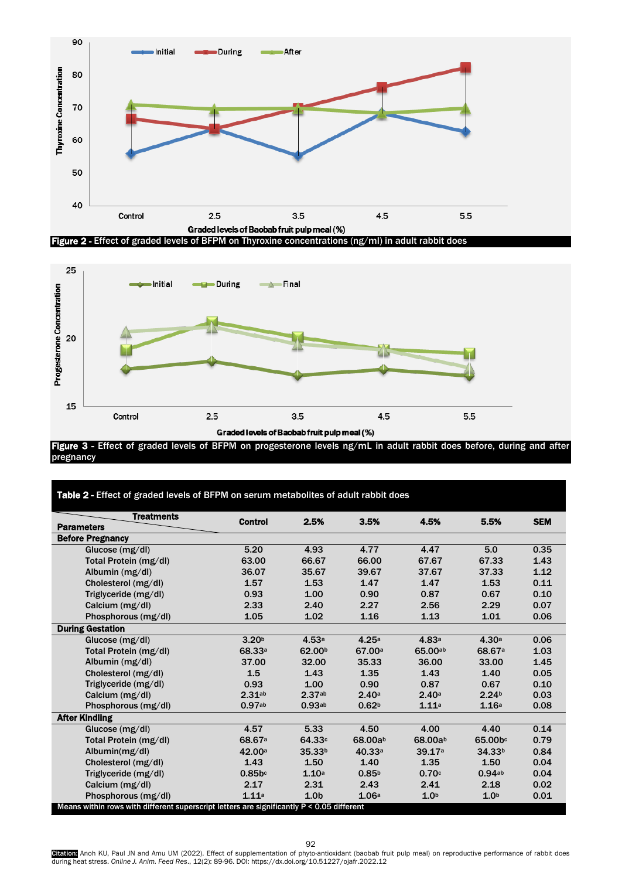



Figure 3 - Effect of graded levels of BFPM on progesterone levels ng/mL in adult rabbit does before, during and after pregnancy

| Table 2 - Effect of graded levels of BFPM on serum metabolites of adult rabbit does       |                    |                    |                    |                  |                    |            |  |
|-------------------------------------------------------------------------------------------|--------------------|--------------------|--------------------|------------------|--------------------|------------|--|
| <b>Treatments</b>                                                                         | <b>Control</b>     | 2.5%               | 3.5%               | 4.5%             | 5.5%               | <b>SEM</b> |  |
| <b>Parameters</b>                                                                         |                    |                    |                    |                  |                    |            |  |
| <b>Before Pregnancy</b>                                                                   |                    |                    |                    |                  |                    |            |  |
| Glucose $(mg/dl)$                                                                         | 5.20               | 4.93               | 4.77               | 4.47             | 5.0                | 0.35       |  |
| Total Protein (mg/dl)                                                                     | 63.00              | 66.67              | 66.00              | 67.67            | 67.33              | 1.43       |  |
| Albumin (mg/dl)                                                                           | 36.07              | 35.67              | 39.67              | 37.67            | 37.33              | 1.12       |  |
| Cholesterol (mg/dl)                                                                       | 1.57               | 1.53               | 1.47               | 1.47             | 1.53               | 0.11       |  |
| Triglyceride (mg/dl)                                                                      | 0.93               | 1.00               | 0.90               | 0.87             | 0.67               | 0.10       |  |
| Calcium (mg/dl)                                                                           | 2.33               | 2.40               | 2.27               | 2.56             | 2.29               | 0.07       |  |
| Phosphorous (mg/dl)                                                                       | 1.05               | 1.02               | 1.16               | 1.13             | 1.01               | 0.06       |  |
| <b>During Gestation</b>                                                                   |                    |                    |                    |                  |                    |            |  |
| Glucose $(mg/dl)$                                                                         | 3.20 <sup>b</sup>  | 4.53a              | 4.25a              | 4.83a            | 4.30 <sup>a</sup>  | 0.06       |  |
| Total Protein (mg/dl)                                                                     | 68.33 <sup>a</sup> | 62.00 <sup>b</sup> | 67.00 <sup>a</sup> | 65.00ab          | 68.67 <sup>a</sup> | 1.03       |  |
| Albumin (mg/dl)                                                                           | 37.00              | 32.00              | 35.33              | 36.00            | 33.00              | 1.45       |  |
| Cholesterol (mg/dl)                                                                       | 1.5                | 1.43               | 1.35               | 1.43             | 1.40               | 0.05       |  |
| Triglyceride (mg/dl)                                                                      | 0.93               | 1.00               | 0.90               | 0.87             | 0.67               | 0.10       |  |
| Calcium (mg/dl)                                                                           | $2.31$ ab          | 2.37ab             | 2.40a              | 2.40a            | 2.24 <sup>b</sup>  | 0.03       |  |
| Phosphorous (mg/dl)                                                                       | 0.97 <sub>ab</sub> | 0.93 <sub>ab</sub> | 0.62 <sup>b</sup>  | 1.11a            | 1.16a              | 0.08       |  |
| <b>After Kindling</b>                                                                     |                    |                    |                    |                  |                    |            |  |
| Glucose $(mg/dl)$                                                                         | 4.57               | 5.33               | 4.50               | 4.00             | 4.40               | 0.14       |  |
| Total Protein (mg/dl)                                                                     | 68.67 <sup>a</sup> | 64.33c             | 68.00ab            | 68.00ab          | 65.00bc            | 0.79       |  |
| Albumin $(mg/dl)$                                                                         | 42.00a             | 35.33 <sup>b</sup> | 40.33a             | 39.17a           | 34.33 <sup>b</sup> | 0.84       |  |
| Cholesterol (mg/dl)                                                                       | 1.43               | 1.50               | 1.40               | 1.35             | 1.50               | 0.04       |  |
| Triglyceride (mg/dl)                                                                      | $0.85b$ c          | 1.10a              | 0.85 <sup>b</sup>  | 0.70c            | 0.94ab             | 0.04       |  |
| Calcium (mg/dl)                                                                           | 2.17               | 2.31               | 2.43               | 2.41             | 2.18               | 0.02       |  |
| Phosphorous (mg/dl)                                                                       | 1.11a              | 1.0 <sub>b</sub>   | 1.06a              | 1.0 <sub>b</sub> | 1.0 <sub>b</sub>   | 0.01       |  |
| Means within rows with different superscript letters are significantly P < 0.05 different |                    |                    |                    |                  |                    |            |  |

Gitation: Anoh KU, Paul JN and Amu UM (2022). Effect of supplementation of phyto-antioxidant (baobab fruit pulp meal) on reproductive performance of rabbit does<br>during heat stress. Online J. Anim. Feed Res., 12(2): 89-96.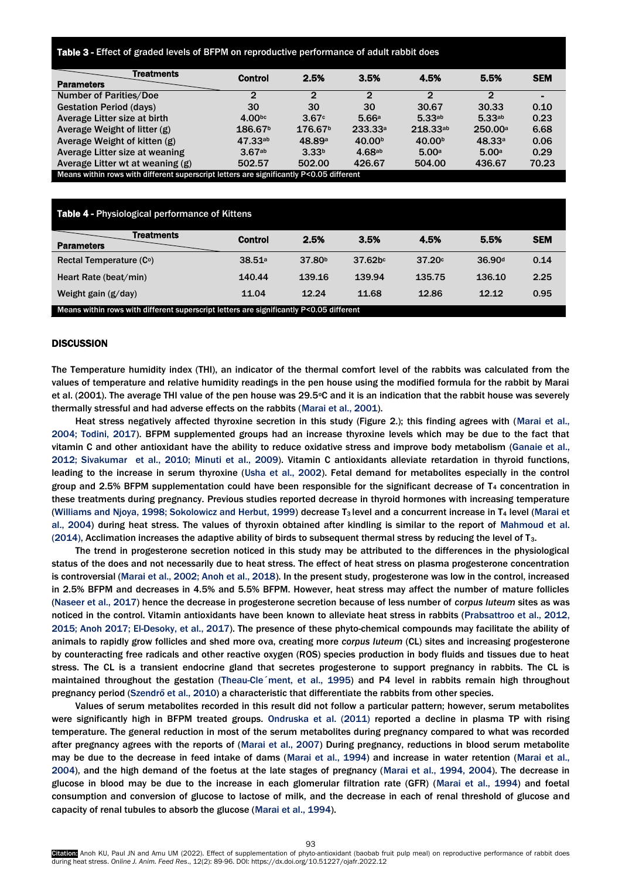# Table 3 - Effect of graded levels of BFPM on reproductive performance of adult rabbit does

| Treatments<br><b>Parameters</b>                                                         | Control             | 2.5%                | 3.5%               | 4.5%               | 5.5%               | <b>SEM</b> |
|-----------------------------------------------------------------------------------------|---------------------|---------------------|--------------------|--------------------|--------------------|------------|
| <b>Number of Parities/Doe</b>                                                           | ◠                   | 2                   | 2                  | າ                  | 2                  |            |
| <b>Gestation Period (days)</b>                                                          | 30                  | 30                  | 30                 | 30.67              | 30.33              | 0.10       |
| Average Litter size at birth                                                            | 4.00 <sub>pc</sub>  | 3.67c               | 5.66a              | $5.33^{ab}$        | 5.33 <sup>ab</sup> | 0.23       |
| Average Weight of litter (g)                                                            | 186.67 <sup>b</sup> | 176.67 <sup>b</sup> | 233.33a            | 218.33ab           | 250.00a            | 6.68       |
| Average Weight of kitten (g)                                                            | 47.33a <sub>b</sub> | 48.89 <sup>a</sup>  | 40.00 <sup>b</sup> | 40.00 <sup>b</sup> | 48.33a             | 0.06       |
| Average Litter size at weaning                                                          | 3.67ab              | 3.33 <sup>b</sup>   | 4.68a <sub>b</sub> | 5.00a              | 5.00a              | 0.29       |
| Average Litter wt at weaning (g)                                                        | 502.57              | 502.00              | 426.67             | 504.00             | 436.67             | 70.23      |
| Means within rows with different superscript letters are significantly P<0.05 different |                     |                     |                    |                    |                    |            |

| Table 4 - Physiological performance of Kittens                                          |                |                    |                     |        |                    |            |
|-----------------------------------------------------------------------------------------|----------------|--------------------|---------------------|--------|--------------------|------------|
| Treatments<br><b>Parameters</b>                                                         | <b>Control</b> | 2.5%               | 3.5%                | 4.5%   | 5.5%               | <b>SEM</b> |
| Rectal Temperature (C°)                                                                 | 38.51a         | 37.80 <sup>b</sup> | 37.62 <sub>bc</sub> | 37.20c | 36.90 <sup>d</sup> | 0.14       |
| Heart Rate (beat/min)                                                                   | 140.44         | 139.16             | 139.94              | 135.75 | 136.10             | 2.25       |
| Weight gain $(g/day)$                                                                   | 11.04          | 12.24              | 11.68               | 12.86  | 12.12              | 0.95       |
| Means within rows with different superscript letters are significantly P<0.05 different |                |                    |                     |        |                    |            |

#### **DISCUSSION**

The Temperature humidity index (THI), an indicator of the thermal comfort level of the rabbits was calculated from the values of temperature and relative humidity readings in the pen house using the modified formula for the rabbit by Marai et al. (2001). The average THI value of the pen house was 29.5°C and it is an indication that the rabbit house was severely thermally stressful and had adverse effects on the rabbits (Marai et al., 2001).

Heat stress negatively affected thyroxine secretion in this study (Figure 2.); this finding agrees with (Marai et al., 2004; Todini, 2017). BFPM supplemented groups had an increase thyroxine levels which may be due to the fact that vitamin C and other antioxidant have the ability to reduce oxidative stress and improve body metabolism (Ganaie et al., 2012; Sivakumar et al., 2010; [Minuti](https://www.cambridge.org/core/search?filters%5BauthorTerms%5D=A.%20Minuti&eventCode=SE-AU) et al., 2009). Vitamin C antioxidants alleviate retardation in thyroid functions, leading to the increase in serum thyroxine (Usha et al., 2002). Fetal demand for metabolites especially in the control group and 2.5% BFPM supplementation could have been responsible for the significant decrease of  $T<sub>4</sub>$  concentration in these treatments during pregnancy. Previous studies reported decrease in thyroid hormones with increasing temperature (Williams and Njoya, 1998; Sokolowicz and Herbut, 1999) decrease  $T_3$  level and a concurrent increase in  $T_4$  level (Marai et al., 2004) during heat stress. The values of thyroxin obtained after kindling is similar to the report of Mahmoud et al. (2014), Acclimation increases the adaptive ability of birds to subsequent thermal stress by reducing the level of T3.

The trend in progesterone secretion noticed in this study may be attributed to the differences in the physiological status of the does and not necessarily due to heat stress. The effect of heat stress on plasma progesterone concentration is controversial (Marai et al., 2002; Anoh et al., 2018). In the present study, progesterone was low in the control, increased in 2.5% BFPM and decreases in 4.5% and 5.5% BFPM. However, heat stress may affect the number of mature follicles (Naseer et al., 2017) hence the decrease in progesterone secretion because of less number of *corpus luteum* sites as was noticed in the control. Vitamin antioxidants have been known to alleviate heat stress in rabbits (Prabsattroo et al., 2012, 2015; Anoh 2017; El-Desoky, et al., 2017). The presence of these phyto-chemical compounds may facilitate the ability of animals to rapidly grow follicles and shed more ova, creating more *corpus luteum* (CL) sites and increasing progesterone by counteracting free radicals and other reactive oxygen (ROS) species production in body fluids and tissues due to heat stress. The CL is a transient endocrine gland that secretes progesterone to support pregnancy in rabbits. The CL is maintained throughout the gestation (Theau-Cle´ment, et al., 1995) and P4 level in rabbits remain high throughout pregnancy period (Szendrő et al., 2010) a characteristic that differentiate the rabbits from other species.

Values of serum metabolites recorded in this result did not follow a particular pattern; however, serum metabolites were significantly high in BFPM treated groups. Ondruska et al. (2011) reported a decline in plasma TP with rising temperature. The general reduction in most of the serum metabolites during pregnancy compared to what was recorded after pregnancy agrees with the reports of (Marai et al., 2007) During pregnancy, reductions in blood serum metabolite may be due to the decrease in feed intake of dams (Marai et al., 1994) and increase in water retention (Marai et al., 2004), and the high demand of the foetus at the late stages of pregnancy (Marai et al., 1994, 2004). The decrease in glucose in blood may be due to the increase in each glomerular filtration rate (GFR) (Marai et al., 1994) and foetal consumption and conversion of glucose to lactose of milk, and the decrease in each of renal threshold of glucose and capacity of renal tubules to absorb the glucose (Marai et al., 1994).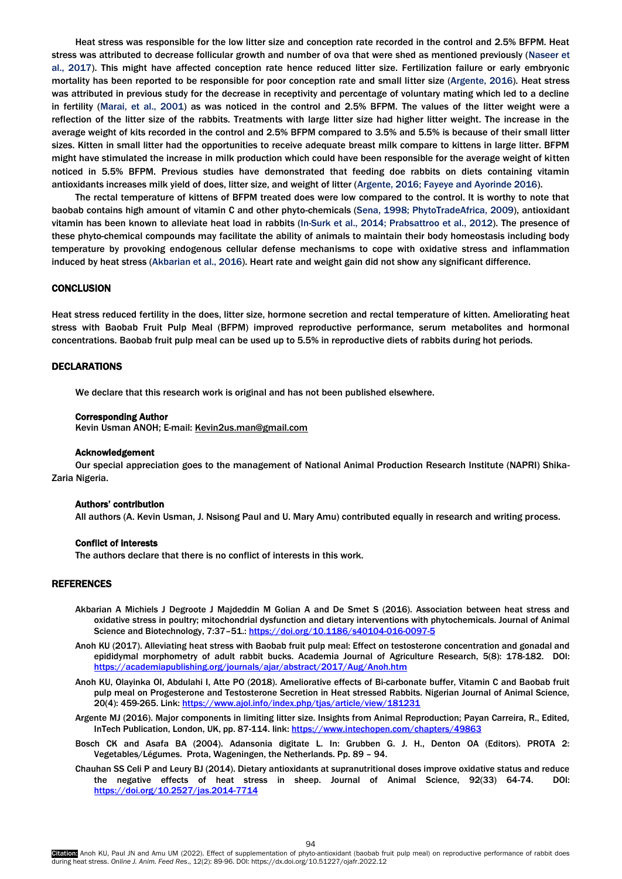Heat stress was responsible for the low litter size and conception rate recorded in the control and 2.5% BFPM. Heat stress was attributed to decrease follicular growth and number of ova that were shed as mentioned previously (Naseer et al., 2017). This might have affected conception rate hence reduced litter size. Fertilization failure or early embryonic mortality has been reported to be responsible for poor conception rate and small litter size (Argente, 2016). Heat stress was attributed in previous study for the decrease in receptivity and percentage of voluntary mating which led to a decline in fertility (Marai, et al., 2001) as was noticed in the control and 2.5% BFPM. The values of the litter weight were a reflection of the litter size of the rabbits. Treatments with large litter size had higher litter weight. The increase in the average weight of kits recorded in the control and 2.5% BFPM compared to 3.5% and 5.5% is because of their small litter sizes. Kitten in small litter had the opportunities to receive adequate breast milk compare to kittens in large litter. BFPM might have stimulated the increase in milk production which could have been responsible for the average weight of kitten noticed in 5.5% BFPM. Previous studies have demonstrated that feeding doe rabbits on diets containing vitamin antioxidants increases milk yield of does, litter size, and weight of litter (Argente, 2016; Fayeye and Ayorinde 2016).

The rectal temperature of kittens of BFPM treated does were low compared to the control. It is worthy to note that baobab contains high amount of vitamin C and other phyto-chemicals (Sena, 1998; PhytoTradeAfrica, 2009), antioxidant vitamin has been known to alleviate heat load in rabbits (In-Surk et al., 2014; Prabsattroo et al., 2012). The presence of these phyto-chemical compounds may facilitate the ability of animals to maintain their body homeostasis including body temperature by provoking endogenous cellular defense mechanisms to cope with oxidative stress and inflammation induced by heat stress (Akbarian et al., 2016). Heart rate and weight gain did not show any significant difference.

## **CONCLUSION**

Heat stress reduced fertility in the does, litter size, hormone secretion and rectal temperature of kitten. Ameliorating heat stress with Baobab Fruit Pulp Meal (BFPM) improved reproductive performance, serum metabolites and hormonal concentrations. Baobab fruit pulp meal can be used up to 5.5% in reproductive diets of rabbits during hot periods.

## DECLARATIONS

We declare that this research work is original and has not been published elsewhere.

## Corresponding Author

Kevin Usman ANOH; E-mail[: Kevin2us.man@gmail.com](mailto:Kevin2us.man@gmail.com)

#### Acknowledgement

Our special appreciation goes to the management of National Animal Production Research Institute (NAPRI) Shika-Zaria Nigeria.

## Authors' contribution

All authors (A. Kevin Usman, J. Nsisong Paul and U. Mary Amu) contributed equally in research and writing process.

# Conflict of interests

The authors declare that there is no conflict of interests in this work.

### REFERENCES

- Akbarian A Michiels J Degroote J Majdeddin M Golian A and De Smet S (2016). Association between heat stress and oxidative stress in poultry; mitochondrial dysfunction and dietary interventions with phytochemicals. Journal of Animal Science and Biotechnology, 7:37-51.[: https://doi.org/10.1186/s40104-016-0097-5](https://doi.org/10.1186/s40104-016-0097-5)
- Anoh KU (2017). Alleviating heat stress with Baobab fruit pulp meal: Effect on testosterone concentration and gonadal and epididymal morphometry of adult rabbit bucks. Academia Journal of Agriculture Research, 5(8): 178-182. DOI: <https://academiapublishing.org/journals/ajar/abstract/2017/Aug/Anoh.htm>
- Anoh KU, Olayinka OI, Abdulahi I, Atte PO (2018). Ameliorative effects of Bi-carbonate buffer, Vitamin C and Baobab fruit pulp meal on Progesterone and Testosterone Secretion in Heat stressed Rabbits. Nigerian Journal of Animal Science, 20(4): 459-265. Link[: https://www.ajol.info/index.php/tjas/article/view/181231](https://www.ajol.info/index.php/tjas/article/view/181231)
- Argente MJ (2016). Major components in limiting litter size. Insights from Animal Reproduction; Payan Carreira, R., Edited, InTech Publication, London, UK, pp. 87-114. link[: https://www.intechopen.com/chapters/49863](https://www.intechopen.com/chapters/49863)
- Bosch CK and Asafa BA (2004). Adansonia digitate L. In: Grubben G. J. H., Denton OA (Editors). PROTA 2: Vegetables/Légumes. Prota, Wageningen, the Netherlands. Pp. 89 – 94.
- Chauhan SS Celi P and Leury BJ (2014). Dietary antioxidants at supranutritional doses improve oxidative status and reduce the negative effects of heat stress in sheep. Journal of Animal Science, 92(33) 64-74. DOI: <https://doi.org/10.2527/jas.2014-7714>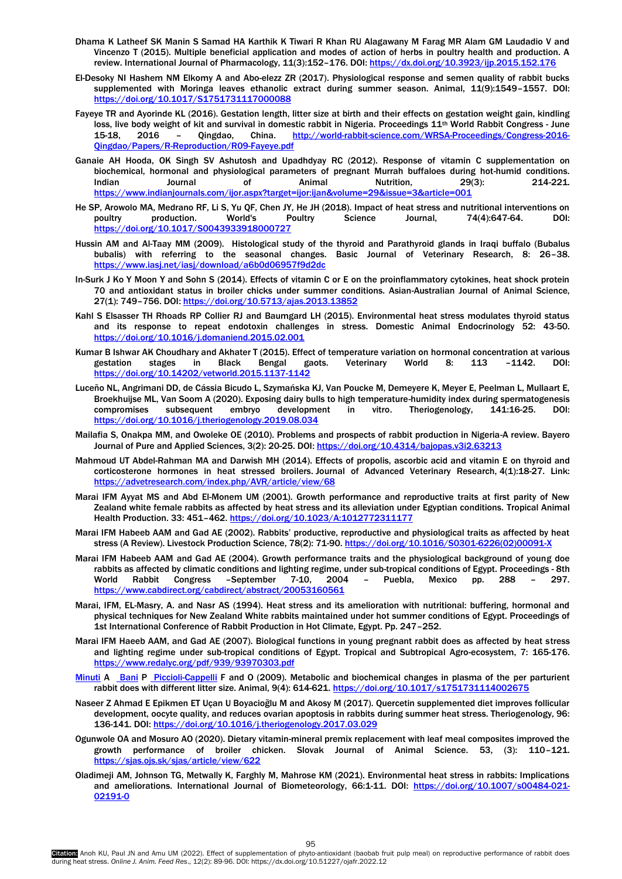- Dhama K Latheef SK Manin S Samad HA Karthik K Tiwari R Khan RU Alagawany M Farag MR Alam GM Laudadio V and Vincenzo T (2015). Multiple beneficial application and modes of action of herbs in poultry health and production. A review. International Journal of Pharmacology, 11(3):152–176. DOI:<https://dx.doi.org/10.3923/ijp.2015.152.176>
- El-Desoky NI Hashem NM Elkomy A and Abo-elezz ZR (2017). Physiological response and semen quality of rabbit bucks supplemented with Moringa leaves ethanolic extract during summer season. Animal, 11(9):1549–1557. DOI: <https://doi.org/10.1017/S1751731117000088>
- Fayeye TR and Ayorinde KL (2016). Gestation length, litter size at birth and their effects on gestation weight gain, kindling loss, live body weight of kit and survival in domestic rabbit in Nigeria. Proceedings 11<sup>th</sup> World Rabbit Congress - June 15-18, 2016 – Qingdao, China. [http://world-rabbit-science.com/WRSA-Proceedings/Congress-2016-](http://world-rabbit-science.com/WRSA-Proceedings/Congress-2016-Qingdao/Papers/R-Reproduction/R09-Fayeye.pdf) [Qingdao/Papers/R-Reproduction/R09-Fayeye.pdf](http://world-rabbit-science.com/WRSA-Proceedings/Congress-2016-Qingdao/Papers/R-Reproduction/R09-Fayeye.pdf)
- Ganaie AH Hooda, OK Singh SV Ashutosh and Upadhdyay RC (2012). Response of vitamin C supplementation on biochemical, hormonal and physiological parameters of pregnant Murrah buffaloes during hot-humid conditions. Indian Journal of Animal Nutrition, 29(3): 214-221. <https://www.indianjournals.com/ijor.aspx?target=ijor:ijan&volume=29&issue=3&article=001>
- He SP, Arowolo MA, Medrano RF, Li S, Yu QF, Chen JY, He JH (2018). Impact of heat stress and nutritional interventions on poultry production. World's Poultry Science Journal, 74(4):647-64. DOI: <https://doi.org/10.1017/S0043933918000727>
- Hussin AM and Al-Taay MM (2009). Histological study of the thyroid and Parathyroid glands in Iraqi buffalo (Bubalus bubalis) with referring to the seasonal changes. Basic Journal of Veterinary Research, 8: 26–38. <https://www.iasj.net/iasj/download/a6b0d06957f9d2dc>
- In-Surk J Ko Y Moon Y and Sohn S (2014). Effects of vitamin C or E on the proinflammatory cytokines, heat shock protein 70 and antioxidant status in broiler chicks under summer conditions. Asian-Australian Journal of Animal Science, 27(1): 749–756. DOI: <https://doi.org/10.5713/ajas.2013.13852>
- Kahl S Elsasser TH Rhoads RP Collier RJ and Baumgard LH (2015). Environmental heat stress modulates thyroid status and its response to repeat endotoxin challenges in stress. Domestic Animal Endocrinology 52: 43-50. <https://doi.org/10.1016/j.domaniend.2015.02.001>
- Kumar B Ishwar AK Choudhary and Akhater T (2015). Effect of temperature variation on hormonal concentration at various gestation stages in Black Bengal gaots. Veterinary World 8: 113 –1142. DOI: https://doi.org/10.14202/vetworld.2015.1137-1
- Luceño NL, Angrimani DD, de Cássia Bicudo L, Szymańska KJ, Van Poucke M, Demeyere K, Meyer E, Peelman L, Mullaart E, Broekhuijse ML, Van Soom A (2020). Exposing dairy bulls to high temperature-humidity index during spermatogenesis compromises subsequent embryo development in vitro. Theriogenology, 141:16-25. DOI: <https://doi.org/10.1016/j.theriogenology.2019.08.034>
- Mailafia S, Onakpa MM, and Owoleke OE (2010). Problems and prospects of rabbit production in Nigeria-A review. Bayero Journal of Pure and Applied Sciences, 3(2): 20-25. DOI[: https://doi.org/10.4314/bajopas.v3i2.63213](https://doi.org/10.4314/bajopas.v3i2.63213)
- Mahmoud UT Abdel-Rahman MA and Darwish MH (2014). Effects of propolis, ascorbic acid and vitamin E on thyroid and corticosterone hormones in heat stressed broilers. Journal of Advanced Veterinary Research, 4(1):18-27. Link: <https://advetresearch.com/index.php/AVR/article/view/68>
- Marai IFM Ayyat MS and Abd El-Monem UM (2001). Growth performance and reproductive traits at first parity of New Zealand white female rabbits as affected by heat stress and its alleviation under Egyptian conditions. Tropical Animal Health Production. 33: 451-462.<https://doi.org/10.1023/A:1012772311177>
- Marai IFM Habeeb AAM and Gad AE (2002). Rabbits' productive, reproductive and physiological traits as affected by heat stress (A Review). Livestock Production Science, 78(2): 71-90[. https://doi.org/10.1016/S0301-6226\(02\)00091-X](https://doi.org/10.1016/S0301-6226(02)00091-X)
- Marai IFM Habeeb AAM and Gad AE (2004). Growth performance traits and the physiological background of young doe rabbits as affected by climatic conditions and lighting regime, under sub-tropical conditions of Egypt. Proceedings - 8th World Rabbit Congress –September 7-10, 2004 – Puebla, Mexico pp. 288 – 297. <https://www.cabdirect.org/cabdirect/abstract/20053160561>
- Marai, IFM, EL-Masry, A. and Nasr AS (1994). Heat stress and its amelioration with nutritional: buffering, hormonal and physical techniques for New Zealand White rabbits maintained under hot summer conditions of Egypt. Proceedings of 1st International Conference of Rabbit Production in Hot Climate, Egypt. Pp. 247–252.
- Marai IFM Haeeb AAM, and Gad AE (2007). Biological functions in young pregnant rabbit does as affected by heat stress and lighting regime under sub-tropical conditions of Egypt. Tropical and Subtropical Agro-ecosystem, 7: 165-176. <https://www.redalyc.org/pdf/939/93970303.pdf>
- [Minuti](https://www.cambridge.org/core/search?filters%5BauthorTerms%5D=A.%20Minuti&eventCode=SE-AU) A [Bani](https://www.cambridge.org/core/search?filters%5BauthorTerms%5D=P.%20Bani&eventCode=SE-AU) P [Piccioli-Cappelli](https://www.cambridge.org/core/search?filters%5BauthorTerms%5D=F.%20Piccioli-Cappelli&eventCode=SE-AU) F and O (2009). Metabolic and biochemical changes in plasma of the per parturient rabbit does with different litter size. Animal, 9(4): 614-621.<https://doi.org/10.1017/s1751731114002675>
- Naseer Z Ahmad E Epikmen ET Uçan U Boyacioğlu M and Akosy M (2017). Quercetin supplemented diet improves follicular development, oocyte quality, and reduces ovarian apoptosis in rabbits during summer heat stress. Theriogenology, 96: 136-141. DOI[: https://doi.org/10.1016/j.theriogenology.2017.03.029](https://doi.org/10.1016/j.theriogenology.2017.03.029)
- Ogunwole OA and Mosuro AO (2020). Dietary vitamin-mineral premix replacement with leaf meal composites improved the growth performance of broiler chicken. Slovak Journal of Animal Science. 53, (3): 110–121. <https://sjas.ojs.sk/sjas/article/view/622>
- Oladimeji AM, Johnson TG, Metwally K, Farghly M, Mahrose KM (2021). Environmental heat stress in rabbits: Implications and ameliorations. International Journal of Biometeorology, 66:1-11. DOI: [https://doi.org/10.1007/s00484-021-](https://doi.org/10.1007/s00484-021-02191-0) [02191-0](https://doi.org/10.1007/s00484-021-02191-0)